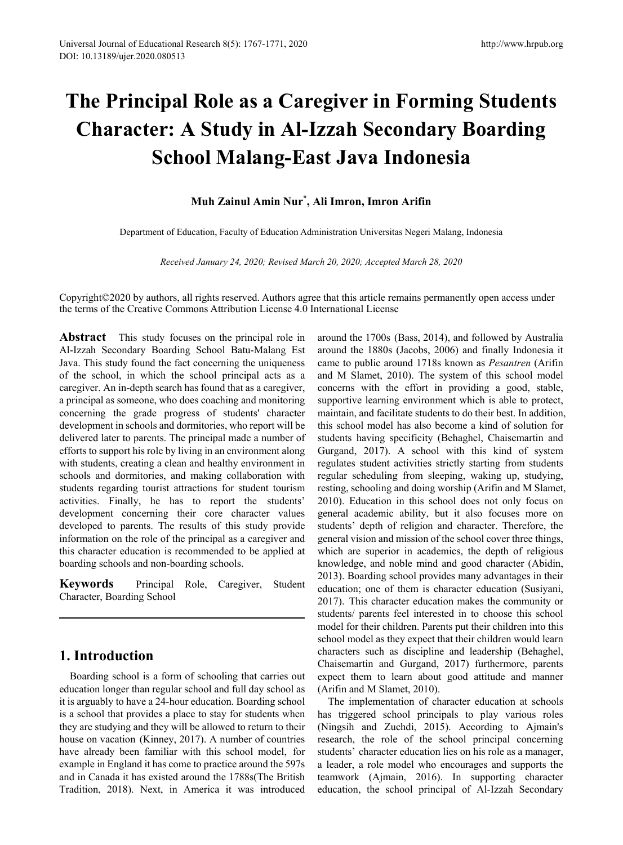# **The Principal Role as a Caregiver in Forming Students Character: A Study in Al-Izzah Secondary Boarding School Malang-East Java Indonesia**

# **Muh Zainul Amin Nur\* , Ali Imron, Imron Arifin**

Department of Education, Faculty of Education Administration Universitas Negeri Malang, Indonesia

*Received January 24, 2020; Revised March 20, 2020; Accepted March 28, 2020*

Copyright©2020 by authors, all rights reserved. Authors agree that this article remains permanently open access under the terms of the Creative Commons Attribution License 4.0 International License

**Abstract** This study focuses on the principal role in Al-Izzah Secondary Boarding School Batu-Malang Est Java. This study found the fact concerning the uniqueness of the school, in which the school principal acts as a caregiver. An in-depth search has found that as a caregiver, a principal as someone, who does coaching and monitoring concerning the grade progress of students' character development in schools and dormitories, who report will be delivered later to parents. The principal made a number of efforts to support his role by living in an environment along with students, creating a clean and healthy environment in schools and dormitories, and making collaboration with students regarding tourist attractions for student tourism activities. Finally, he has to report the students' development concerning their core character values developed to parents. The results of this study provide information on the role of the principal as a caregiver and this character education is recommended to be applied at boarding schools and non-boarding schools.

**Keywords** Principal Role, Caregiver, Student Character, Boarding School

# **1. Introduction**

Boarding school is a form of schooling that carries out education longer than regular school and full day school as it is arguably to have a 24-hour education. Boarding school is a school that provides a place to stay for students when they are studying and they will be allowed to return to their house on vacation (Kinney, 2017). A number of countries have already been familiar with this school model, for example in England it has come to practice around the 597s and in Canada it has existed around the 1788s(The British Tradition, 2018). Next, in America it was introduced

around the 1700s (Bass, 2014), and followed by Australia around the 1880s (Jacobs, 2006) and finally Indonesia it came to public around 1718s known as *Pesantren* (Arifin and M Slamet, 2010). The system of this school model concerns with the effort in providing a good, stable, supportive learning environment which is able to protect, maintain, and facilitate students to do their best. In addition, this school model has also become a kind of solution for students having specificity (Behaghel, Chaisemartin and Gurgand, 2017). A school with this kind of system regulates student activities strictly starting from students regular scheduling from sleeping, waking up, studying, resting, schooling and doing worship (Arifin and M Slamet, 2010). Education in this school does not only focus on general academic ability, but it also focuses more on students' depth of religion and character. Therefore, the general vision and mission of the school cover three things, which are superior in academics, the depth of religious knowledge, and noble mind and good character (Abidin, 2013). Boarding school provides many advantages in their education; one of them is character education (Susiyani, 2017). This character education makes the community or students/ parents feel interested in to choose this school model for their children. Parents put their children into this school model as they expect that their children would learn characters such as discipline and leadership (Behaghel, Chaisemartin and Gurgand, 2017) furthermore, parents expect them to learn about good attitude and manner (Arifin and M Slamet, 2010).

The implementation of character education at schools has triggered school principals to play various roles (Ningsih and Zuchdi, 2015). According to Ajmain's research, the role of the school principal concerning students' character education lies on his role as a manager, a leader, a role model who encourages and supports the teamwork (Ajmain, 2016). In supporting character education, the school principal of Al-Izzah Secondary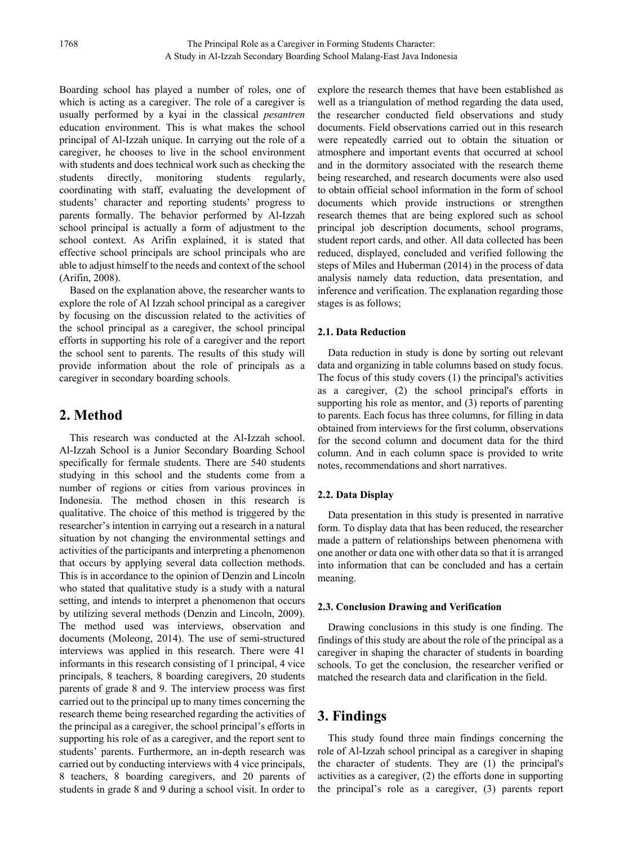Boarding school has played a number of roles, one of which is acting as a caregiver. The role of a caregiver is usually performed by a kyai in the classical *pesantren* education environment. This is what makes the school principal of Al-Izzah unique. In carrying out the role of a caregiver, he chooses to live in the school environment with students and does technical work such as checking the students directly, monitoring students regularly, coordinating with staff, evaluating the development of students' character and reporting students' progress to parents formally. The behavior performed by Al-Izzah school principal is actually a form of adjustment to the school context. As Arifin explained, it is stated that effective school principals are school principals who are able to adjust himself to the needs and context of the school (Arifin, 2008).

Based on the explanation above, the researcher wants to explore the role of Al Izzah school principal as a caregiver by focusing on the discussion related to the activities of the school principal as a caregiver, the school principal efforts in supporting his role of a caregiver and the report the school sent to parents. The results of this study will provide information about the role of principals as a caregiver in secondary boarding schools.

# **2. Method**

This research was conducted at the Al-Izzah school. Al-Izzah School is a Junior Secondary Boarding School specifically for fermale students. There are 540 students studying in this school and the students come from a number of regions or cities from various provinces in Indonesia. The method chosen in this research is qualitative. The choice of this method is triggered by the researcher's intention in carrying out a research in a natural situation by not changing the environmental settings and activities of the participants and interpreting a phenomenon that occurs by applying several data collection methods. This is in accordance to the opinion of Denzin and Lincoln who stated that qualitative study is a study with a natural setting, and intends to interpret a phenomenon that occurs by utilizing several methods (Denzin and Lincoln, 2009). The method used was interviews, observation and documents (Moleong, 2014). The use of semi-structured interviews was applied in this research. There were 41 informants in this research consisting of 1 principal, 4 vice principals, 8 teachers, 8 boarding caregivers, 20 students parents of grade 8 and 9. The interview process was first carried out to the principal up to many times concerning the research theme being researched regarding the activities of the principal as a caregiver, the school principal's efforts in supporting his role of as a caregiver, and the report sent to students' parents. Furthermore, an in-depth research was carried out by conducting interviews with 4 vice principals, 8 teachers, 8 boarding caregivers, and 20 parents of students in grade 8 and 9 during a school visit. In order to

explore the research themes that have been established as well as a triangulation of method regarding the data used, the researcher conducted field observations and study documents. Field observations carried out in this research were repeatedly carried out to obtain the situation or atmosphere and important events that occurred at school and in the dormitory associated with the research theme being researched, and research documents were also used to obtain official school information in the form of school documents which provide instructions or strengthen research themes that are being explored such as school principal job description documents, school programs, student report cards, and other. All data collected has been reduced, displayed, concluded and verified following the steps of Miles and Huberman (2014) in the process of data analysis namely data reduction, data presentation, and inference and verification. The explanation regarding those stages is as follows;

### **2.1. Data Reduction**

Data reduction in study is done by sorting out relevant data and organizing in table columns based on study focus. The focus of this study covers (1) the principal's activities as a caregiver, (2) the school principal's efforts in supporting his role as mentor, and (3) reports of parenting to parents. Each focus has three columns, for filling in data obtained from interviews for the first column, observations for the second column and document data for the third column. And in each column space is provided to write notes, recommendations and short narratives.

## **2.2. Data Display**

Data presentation in this study is presented in narrative form. To display data that has been reduced, the researcher made a pattern of relationships between phenomena with one another or data one with other data so that it is arranged into information that can be concluded and has a certain meaning.

#### **2.3. Conclusion Drawing and Verification**

Drawing conclusions in this study is one finding. The findings of this study are about the role of the principal as a caregiver in shaping the character of students in boarding schools. To get the conclusion, the researcher verified or matched the research data and clarification in the field.

# **3. Findings**

This study found three main findings concerning the role of Al-Izzah school principal as a caregiver in shaping the character of students. They are (1) the principal's activities as a caregiver, (2) the efforts done in supporting the principal's role as a caregiver, (3) parents report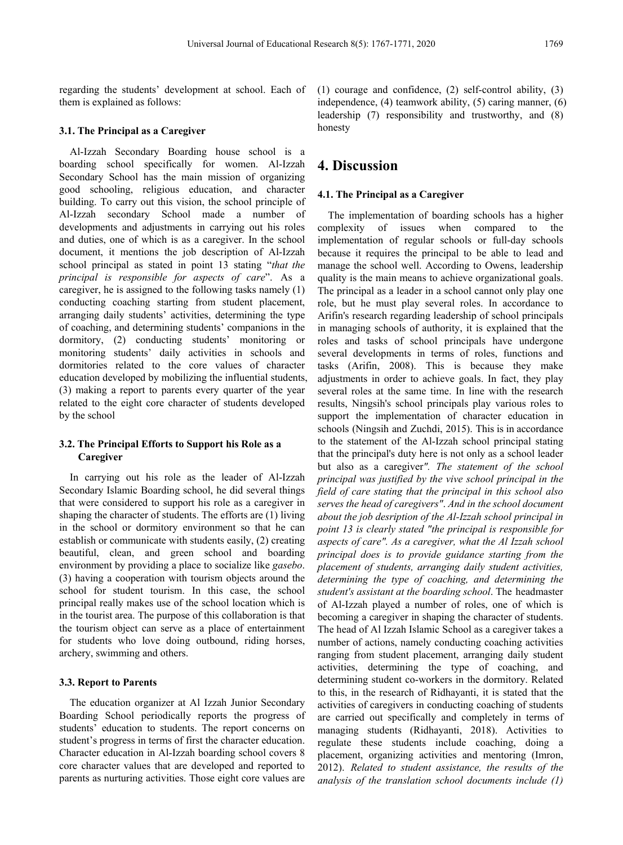regarding the students' development at school. Each of them is explained as follows:

#### **3.1. The Principal as a Caregiver**

Al-Izzah Secondary Boarding house school is a boarding school specifically for women. Al-Izzah Secondary School has the main mission of organizing good schooling, religious education, and character building. To carry out this vision, the school principle of Al-Izzah secondary School made a number of developments and adjustments in carrying out his roles and duties, one of which is as a caregiver. In the school document, it mentions the job description of Al-Izzah school principal as stated in point 13 stating "*that the principal is responsible for aspects of care*". As a caregiver, he is assigned to the following tasks namely (1) conducting coaching starting from student placement, arranging daily students' activities, determining the type of coaching, and determining students' companions in the dormitory, (2) conducting students' monitoring or monitoring students' daily activities in schools and dormitories related to the core values of character education developed by mobilizing the influential students, (3) making a report to parents every quarter of the year related to the eight core character of students developed by the school

#### **3.2. The Principal Efforts to Support his Role as a Caregiver**

In carrying out his role as the leader of Al-Izzah Secondary Islamic Boarding school, he did several things that were considered to support his role as a caregiver in shaping the character of students. The efforts are (1) living in the school or dormitory environment so that he can establish or communicate with students easily, (2) creating beautiful, clean, and green school and boarding environment by providing a place to socialize like *gasebo*. (3) having a cooperation with tourism objects around the school for student tourism. In this case, the school principal really makes use of the school location which is in the tourist area. The purpose of this collaboration is that the tourism object can serve as a place of entertainment for students who love doing outbound, riding horses, archery, swimming and others.

#### **3.3. Report to Parents**

The education organizer at Al Izzah Junior Secondary Boarding School periodically reports the progress of students' education to students. The report concerns on student's progress in terms of first the character education. Character education in Al-Izzah boarding school covers 8 core character values that are developed and reported to parents as nurturing activities. Those eight core values are

(1) courage and confidence, (2) self-control ability, (3) independence, (4) teamwork ability, (5) caring manner, (6) leadership (7) responsibility and trustworthy, and (8) honesty

# **4. Discussion**

#### **4.1. The Principal as a Caregiver**

The implementation of boarding schools has a higher complexity of issues when compared to the implementation of regular schools or full-day schools because it requires the principal to be able to lead and manage the school well. According to Owens, leadership quality is the main means to achieve organizational goals. The principal as a leader in a school cannot only play one role, but he must play several roles. In accordance to Arifin's research regarding leadership of school principals in managing schools of authority, it is explained that the roles and tasks of school principals have undergone several developments in terms of roles, functions and tasks (Arifin, 2008). This is because they make adjustments in order to achieve goals. In fact, they play several roles at the same time. In line with the research results, Ningsih's school principals play various roles to support the implementation of character education in schools (Ningsih and Zuchdi, 2015). This is in accordance to the statement of the Al-Izzah school principal stating that the principal's duty here is not only as a school leader but also as a caregiver*". The statement of the school principal was justified by the vive school principal in the field of care stating that the principal in this school also serves the head of caregivers"*. *And in the school document about the job desription of the Al-Izzah school principal in point 13 is clearly stated "the principal is responsible for aspects of care". As a caregiver, what the Al Izzah school principal does is to provide guidance starting from the placement of students, arranging daily student activities, determining the type of coaching, and determining the student's assistant at the boarding school*. The headmaster of Al-Izzah played a number of roles, one of which is becoming a caregiver in shaping the character of students. The head of Al Izzah Islamic School as a caregiver takes a number of actions, namely conducting coaching activities ranging from student placement, arranging daily student activities, determining the type of coaching, and determining student co-workers in the dormitory. Related to this, in the research of Ridhayanti, it is stated that the activities of caregivers in conducting coaching of students are carried out specifically and completely in terms of managing students (Ridhayanti, 2018). Activities to regulate these students include coaching, doing a placement, organizing activities and mentoring (Imron, 2012). *Related to student assistance, the results of the analysis of the translation school documents include (1)*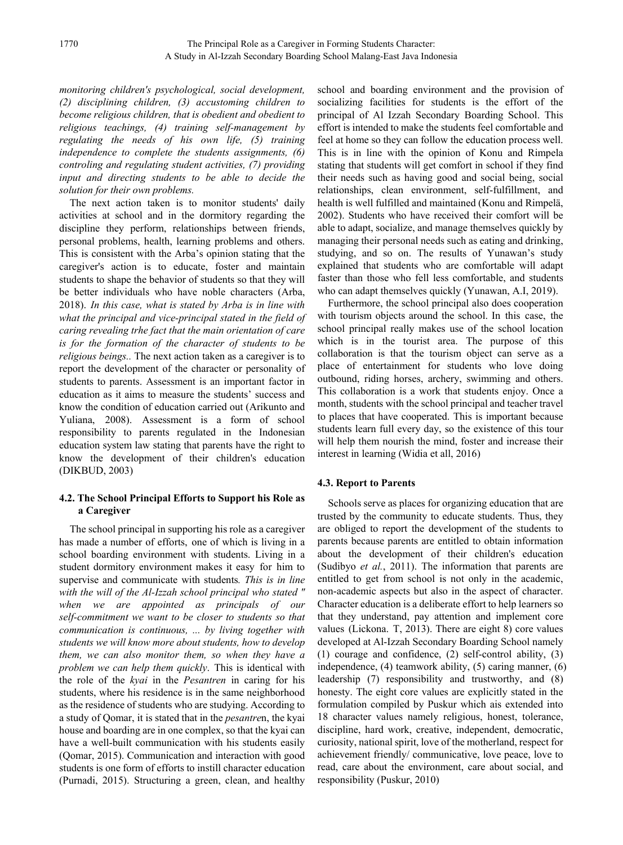*monitoring children's psychological, social development, (2) disciplining children, (3) accustoming children to become religious children, that is obedient and obedient to religious teachings, (4) training self-management by regulating the needs of his own life, (5) training* independence to complete the students assignments, (6) *controling and regulating student activities, (7) providing input and directing students to be able to decide the solution for their own problems.*

The next action taken is to monitor students' daily activities at school and in the dormitory regarding the discipline they perform, relationships between friends, personal problems, health, learning problems and others. This is consistent with the Arba's opinion stating that the caregiver's action is to educate, foster and maintain students to shape the behavior of students so that they will be better individuals who have noble characters (Arba, 2018). *In this case, what is stated by Arba is in line with what the principal and vice-principal stated in the field of caring revealing trhe fact that the main orientation of care is for the formation of the character of students to be religious beings..* The next action taken as a caregiver is to report the development of the character or personality of students to parents. Assessment is an important factor in education as it aims to measure the students' success and know the condition of education carried out (Arikunto and Yuliana, 2008). Assessment is a form of school responsibility to parents regulated in the Indonesian education system law stating that parents have the right to know the development of their children's education (DIKBUD, 2003)

#### **4.2. The School Principal Efforts to Support his Role as a Caregiver**

The school principal in supporting his role as a caregiver has made a number of efforts, one of which is living in a school boarding environment with students. Living in a student dormitory environment makes it easy for him to supervise and communicate with students*. This is in line with the will of the Al-Izzah school principal who stated " when we are appointed as principals of our self-commitment we want to be closer to students so that communication is continuous, ... by living together with students we will know more about students, how to develop them, we can also monitor them, so when they have a problem we can help them quickly*. This is identical with the role of the *kyai* in the *Pesantren* in caring for his students, where his residence is in the same neighborhood as the residence of students who are studying. According to a study of Qomar, it is stated that in the *pesantre*n, the kyai house and boarding are in one complex, so that the kyai can have a well-built communication with his students easily (Qomar, 2015). Communication and interaction with good students is one form of efforts to instill character education (Purnadi, 2015). Structuring a green, clean, and healthy

school and boarding environment and the provision of socializing facilities for students is the effort of the principal of Al Izzah Secondary Boarding School. This effort is intended to make the students feel comfortable and feel at home so they can follow the education process well. This is in line with the opinion of Konu and Rimpela stating that students will get comfort in school if they find their needs such as having good and social being, social relationships, clean environment, self-fulfillment, and health is well fulfilled and maintained (Konu and Rimpelä, 2002). Students who have received their comfort will be able to adapt, socialize, and manage themselves quickly by managing their personal needs such as eating and drinking, studying, and so on. The results of Yunawan's study explained that students who are comfortable will adapt faster than those who fell less comfortable, and students who can adapt themselves quickly (Yunawan, A.I, 2019).

Furthermore, the school principal also does cooperation with tourism objects around the school. In this case, the school principal really makes use of the school location which is in the tourist area. The purpose of this collaboration is that the tourism object can serve as a place of entertainment for students who love doing outbound, riding horses, archery, swimming and others. This collaboration is a work that students enjoy. Once a month, students with the school principal and teacher travel to places that have cooperated. This is important because students learn full every day, so the existence of this tour will help them nourish the mind, foster and increase their interest in learning (Widia et all, 2016)

#### **4.3. Report to Parents**

Schools serve as places for organizing education that are trusted by the community to educate students. Thus, they are obliged to report the development of the students to parents because parents are entitled to obtain information about the development of their children's education (Sudibyo *et al.*, 2011). The information that parents are entitled to get from school is not only in the academic, non-academic aspects but also in the aspect of character. Character education is a deliberate effort to help learners so that they understand, pay attention and implement core values (Lickona. T, 2013). There are eight 8) core values developed at Al-Izzah Secondary Boarding School namely (1) courage and confidence, (2) self-control ability, (3) independence, (4) teamwork ability, (5) caring manner, (6) leadership (7) responsibility and trustworthy, and (8) honesty. The eight core values are explicitly stated in the formulation compiled by Puskur which ais extended into 18 character values namely religious, honest, tolerance, discipline, hard work, creative, independent, democratic, curiosity, national spirit, love of the motherland, respect for achievement friendly/ communicative, love peace, love to read, care about the environment, care about social, and responsibility (Puskur, 2010)